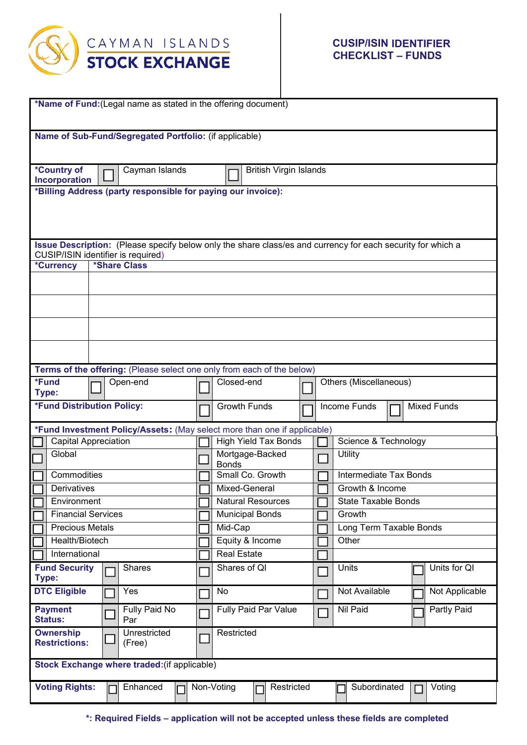

| *Name of Fund: (Legal name as stated in the offering document)                                                                                    |                        |  |                                   |            |  |  |                                    |  |              |                |  |
|---------------------------------------------------------------------------------------------------------------------------------------------------|------------------------|--|-----------------------------------|------------|--|--|------------------------------------|--|--------------|----------------|--|
| Name of Sub-Fund/Segregated Portfolio: (if applicable)                                                                                            |                        |  |                                   |            |  |  |                                    |  |              |                |  |
| *Country of<br><b>British Virgin Islands</b><br>Cayman Islands<br>Incorporation                                                                   |                        |  |                                   |            |  |  |                                    |  |              |                |  |
| *Billing Address (party responsible for paying our invoice):                                                                                      |                        |  |                                   |            |  |  |                                    |  |              |                |  |
|                                                                                                                                                   |                        |  |                                   |            |  |  |                                    |  |              |                |  |
| Issue Description: (Please specify below only the share class/es and currency for each security for which a<br>CUSIP/ISIN identifier is required) |                        |  |                                   |            |  |  |                                    |  |              |                |  |
| *Currency                                                                                                                                         | *Share Class           |  |                                   |            |  |  |                                    |  |              |                |  |
|                                                                                                                                                   |                        |  |                                   |            |  |  |                                    |  |              |                |  |
|                                                                                                                                                   |                        |  |                                   |            |  |  |                                    |  |              |                |  |
|                                                                                                                                                   |                        |  |                                   |            |  |  |                                    |  |              |                |  |
|                                                                                                                                                   |                        |  |                                   |            |  |  |                                    |  |              |                |  |
| Terms of the offering: (Please select one only from each of the below)                                                                            |                        |  |                                   |            |  |  |                                    |  |              |                |  |
| *Fund<br>Type:                                                                                                                                    | Open-end               |  | Closed-end                        |            |  |  | Others (Miscellaneous)             |  |              |                |  |
| *Fund Distribution Policy:                                                                                                                        |                        |  | <b>Growth Funds</b>               |            |  |  | <b>Mixed Funds</b><br>Income Funds |  |              |                |  |
| *Fund Investment Policy/Assets: (May select more than one if applicable)                                                                          |                        |  |                                   |            |  |  |                                    |  |              |                |  |
| <b>Capital Appreciation</b>                                                                                                                       |                        |  | <b>High Yield Tax Bonds</b>       |            |  |  | Science & Technology               |  |              |                |  |
| Global                                                                                                                                            |                        |  | Mortgage-Backed<br><b>Bonds</b>   |            |  |  | Utility                            |  |              |                |  |
| Commodities                                                                                                                                       |                        |  | Small Co. Growth                  |            |  |  | Intermediate Tax Bonds             |  |              |                |  |
| Derivatives                                                                                                                                       |                        |  | Mixed-General                     |            |  |  | Growth & Income                    |  |              |                |  |
| Environment<br><b>Financial Services</b>                                                                                                          |                        |  | <b>Natural Resources</b>          |            |  |  | <b>State Taxable Bonds</b>         |  |              |                |  |
| <b>Precious Metals</b>                                                                                                                            |                        |  | <b>Municipal Bonds</b><br>Mid-Cap |            |  |  | Growth<br>Long Term Taxable Bonds  |  |              |                |  |
| Health/Biotech                                                                                                                                    |                        |  | Equity & Income                   |            |  |  | Other                              |  |              |                |  |
| International                                                                                                                                     |                        |  | <b>Real Estate</b>                |            |  |  |                                    |  |              |                |  |
| <b>Fund Security</b><br>Type:                                                                                                                     | <b>Shares</b>          |  | Shares of QI                      |            |  |  | Units                              |  | Units for QI |                |  |
| <b>DTC Eligible</b>                                                                                                                               | Yes                    |  | No                                |            |  |  | Not Available                      |  |              | Not Applicable |  |
| <b>Payment</b><br><b>Status:</b>                                                                                                                  | Fully Paid No<br>Par   |  | Fully Paid Par Value              |            |  |  | Nil Paid                           |  |              | Partly Paid    |  |
| <b>Ownership</b><br><b>Restrictions:</b>                                                                                                          | Unrestricted<br>(Free) |  | Restricted                        |            |  |  |                                    |  |              |                |  |
| Stock Exchange where traded: (if applicable)                                                                                                      |                        |  |                                   |            |  |  |                                    |  |              |                |  |
| <b>Voting Rights:</b>                                                                                                                             | Enhanced               |  | Non-Voting<br>П                   | Restricted |  |  | Subordinated                       |  |              | Voting         |  |

**\*: Required Fields – application will not be accepted unless these fields are completed**